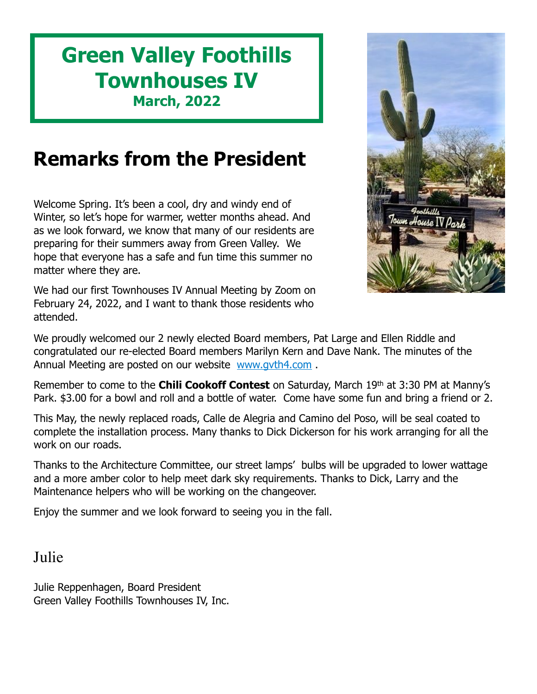# **Green Valley Foothills Townhouses IV March, 2022**

# **Remarks from the President**

Welcome Spring. It's been a cool, dry and windy end of Winter, so let's hope for warmer, wetter months ahead. And as we look forward, we know that many of our residents are preparing for their summers away from Green Valley. We hope that everyone has a safe and fun time this summer no matter where they are.

We had our first Townhouses IV Annual Meeting by Zoom on February 24, 2022, and I want to thank those residents who attended.

own House IV Par

We proudly welcomed our 2 newly elected Board members, Pat Large and Ellen Riddle and congratulated our re-elected Board members Marilyn Kern and Dave Nank. The minutes of the Annual Meeting are posted on our website www.gyth4.com.

Remember to come to the **Chili Cookoff Contest** on Saturday, March 19th at 3:30 PM at Manny's Park. \$3.00 for a bowl and roll and a bottle of water. Come have some fun and bring a friend or 2.

This May, the newly replaced roads, Calle de Alegria and Camino del Poso, will be seal coated to complete the installation process. Many thanks to Dick Dickerson for his work arranging for all the work on our roads.

Thanks to the Architecture Committee, our street lamps' bulbs will be upgraded to lower wattage and a more amber color to help meet dark sky requirements. Thanks to Dick, Larry and the Maintenance helpers who will be working on the changeover.

Enjoy the summer and we look forward to seeing you in the fall.

Julie

Julie Reppenhagen, Board President Green Valley Foothills Townhouses IV, Inc.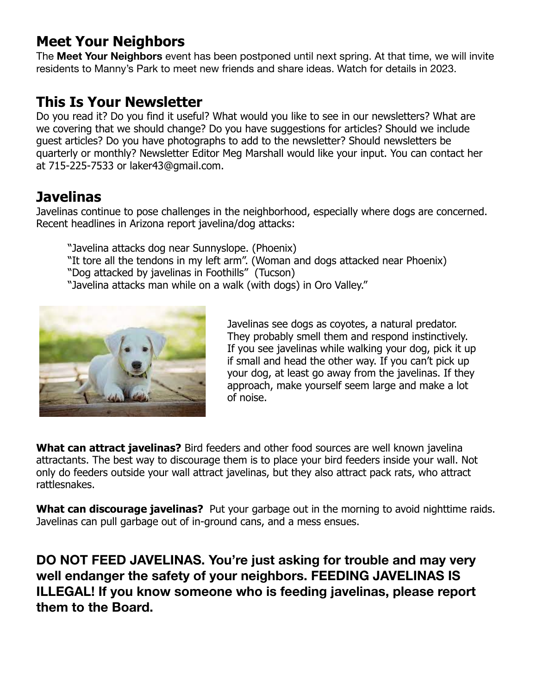### **Meet Your Neighbors**

The **Meet Your Neighbors** event has been postponed until next spring. At that time, we will invite residents to Manny's Park to meet new friends and share ideas. Watch for details in 2023.

#### **This Is Your Newsletter**

Do you read it? Do you find it useful? What would you like to see in our newsletters? What are we covering that we should change? Do you have suggestions for articles? Should we include guest articles? Do you have photographs to add to the newsletter? Should newsletters be quarterly or monthly? Newsletter Editor Meg Marshall would like your input. You can contact her at 715-225-7533 or laker43@gmail.com.

## **Javelinas**

Javelinas continue to pose challenges in the neighborhood, especially where dogs are concerned. Recent headlines in Arizona report javelina/dog attacks:

- "Javelina attacks dog near Sunnyslope. (Phoenix)
- "It tore all the tendons in my left arm". (Woman and dogs attacked near Phoenix)
- "Dog attacked by javelinas in Foothills" (Tucson)
- "Javelina attacks man while on a walk (with dogs) in Oro Valley."



Javelinas see dogs as coyotes, a natural predator. They probably smell them and respond instinctively. If you see javelinas while walking your dog, pick it up if small and head the other way. If you can't pick up your dog, at least go away from the javelinas. If they approach, make yourself seem large and make a lot of noise.

**What can attract javelinas?** Bird feeders and other food sources are well known javelina attractants. The best way to discourage them is to place your bird feeders inside your wall. Not only do feeders outside your wall attract javelinas, but they also attract pack rats, who attract rattlesnakes.

**What can discourage javelinas?** Put your garbage out in the morning to avoid nighttime raids. Javelinas can pull garbage out of in-ground cans, and a mess ensues.

**DO NOT FEED JAVELINAS. You're just asking for trouble and may very well endanger the safety of your neighbors. FEEDING JAVELINAS IS ILLEGAL! If you know someone who is feeding javelinas, please report them to the Board.**